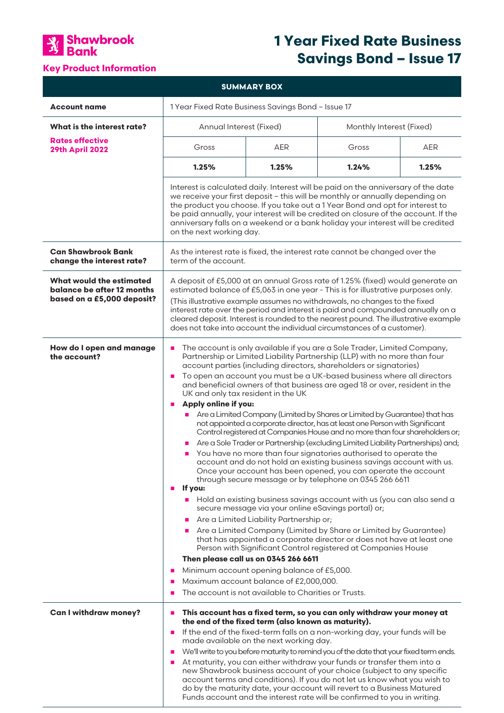

# **1 Year Fixed Rate Business Savings Bond – Issue 17**

# **Key Product Information**

| <b>SUMMARY BOX</b>                                                                   |                                                                                                                                                                                                                                                                                                                                                                                                                                                                                                                                                                                                                                                                                                                                                                                                                                                                                                                                                                                                                                                                                                                                                                                                                                                                                                                                                                                                                                                                                                                                                                                                                                                                                                                                |            |                          |       |
|--------------------------------------------------------------------------------------|--------------------------------------------------------------------------------------------------------------------------------------------------------------------------------------------------------------------------------------------------------------------------------------------------------------------------------------------------------------------------------------------------------------------------------------------------------------------------------------------------------------------------------------------------------------------------------------------------------------------------------------------------------------------------------------------------------------------------------------------------------------------------------------------------------------------------------------------------------------------------------------------------------------------------------------------------------------------------------------------------------------------------------------------------------------------------------------------------------------------------------------------------------------------------------------------------------------------------------------------------------------------------------------------------------------------------------------------------------------------------------------------------------------------------------------------------------------------------------------------------------------------------------------------------------------------------------------------------------------------------------------------------------------------------------------------------------------------------------|------------|--------------------------|-------|
| <b>Account name</b>                                                                  | 1 Year Fixed Rate Business Savings Bond - Issue 17                                                                                                                                                                                                                                                                                                                                                                                                                                                                                                                                                                                                                                                                                                                                                                                                                                                                                                                                                                                                                                                                                                                                                                                                                                                                                                                                                                                                                                                                                                                                                                                                                                                                             |            |                          |       |
| What is the interest rate?                                                           | Annual Interest (Fixed)                                                                                                                                                                                                                                                                                                                                                                                                                                                                                                                                                                                                                                                                                                                                                                                                                                                                                                                                                                                                                                                                                                                                                                                                                                                                                                                                                                                                                                                                                                                                                                                                                                                                                                        |            | Monthly Interest (Fixed) |       |
| <b>Rates effective</b><br><b>29th April 2022</b>                                     | Gross                                                                                                                                                                                                                                                                                                                                                                                                                                                                                                                                                                                                                                                                                                                                                                                                                                                                                                                                                                                                                                                                                                                                                                                                                                                                                                                                                                                                                                                                                                                                                                                                                                                                                                                          | <b>AER</b> | Gross                    | AER   |
|                                                                                      | 1.25%                                                                                                                                                                                                                                                                                                                                                                                                                                                                                                                                                                                                                                                                                                                                                                                                                                                                                                                                                                                                                                                                                                                                                                                                                                                                                                                                                                                                                                                                                                                                                                                                                                                                                                                          | 1.25%      | 1.24%                    | 1.25% |
|                                                                                      | Interest is calculated daily. Interest will be paid on the anniversary of the date<br>we receive your first deposit - this will be monthly or annually depending on<br>the product you choose. If you take out a 1 Year Bond and opt for interest to<br>be paid annually, your interest will be credited on closure of the account. If the<br>anniversary falls on a weekend or a bank holiday your interest will be credited<br>on the next working day.                                                                                                                                                                                                                                                                                                                                                                                                                                                                                                                                                                                                                                                                                                                                                                                                                                                                                                                                                                                                                                                                                                                                                                                                                                                                      |            |                          |       |
| <b>Can Shawbrook Bank</b><br>change the interest rate?                               | As the interest rate is fixed, the interest rate cannot be changed over the<br>term of the account.                                                                                                                                                                                                                                                                                                                                                                                                                                                                                                                                                                                                                                                                                                                                                                                                                                                                                                                                                                                                                                                                                                                                                                                                                                                                                                                                                                                                                                                                                                                                                                                                                            |            |                          |       |
| What would the estimated<br>balance be after 12 months<br>based on a £5,000 deposit? | A deposit of £5,000 at an annual Gross rate of 1.25% (fixed) would generate an<br>estimated balance of £5,063 in one year - This is for illustrative purposes only.<br>(This illustrative example assumes no withdrawals, no changes to the fixed<br>interest rate over the period and interest is paid and compounded annually on a<br>cleared deposit. Interest is rounded to the nearest pound. The illustrative example<br>does not take into account the individual circumstances of a customer).                                                                                                                                                                                                                                                                                                                                                                                                                                                                                                                                                                                                                                                                                                                                                                                                                                                                                                                                                                                                                                                                                                                                                                                                                         |            |                          |       |
| How do I open and manage<br>the account?                                             | The account is only available if you are a Sole Trader, Limited Company,<br>Partnership or Limited Liability Partnership (LLP) with no more than four<br>account parties (including directors, shareholders or signatories)<br>To open an account you must be a UK-based business where all directors<br>$\blacksquare$<br>and beneficial owners of that business are aged 18 or over, resident in the<br>UK and only tax resident in the UK<br>Apply online if you:<br>Are a Limited Company (Limited by Shares or Limited by Guarantee) that has<br>not appointed a corporate director, has at least one Person with Significant<br>Control registered at Companies House and no more than four shareholders or;<br>Are a Sole Trader or Partnership (excluding Limited Liability Partnerships) and;<br>×<br>You have no more than four signatories authorised to operate the<br>$\blacksquare$<br>account and do not hold an existing business savings account with us.<br>Once your account has been opened, you can operate the account<br>through secure message or by telephone on 0345 266 6611<br>If you:<br>$\mathbf{r}$<br>Hold an existing business savings account with us (you can also send a<br>secure message via your online eSavings portal) or;<br>Are a Limited Liability Partnership or;<br>×<br>Are a Limited Company (Limited by Share or Limited by Guarantee)<br>that has appointed a corporate director or does not have at least one<br>Person with Significant Control registered at Companies House<br>Then please call us on 0345 266 6611<br>Minimum account opening balance of £5,000.<br>ш<br>Maximum account balance of £2,000,000.<br>The account is not available to Charities or Trusts. |            |                          |       |
| <b>Can I withdraw money?</b>                                                         | This account has a fixed term, so you can only withdraw your money at<br>п<br>the end of the fixed term (also known as maturity).<br>If the end of the fixed-term falls on a non-working day, your funds will be<br>п<br>made available on the next working day.<br>We'll write to you before maturity to remind you of the date that your fixed term ends.<br>п<br>At maturity, you can either withdraw your funds or transfer them into a<br>new Shawbrook business account of your choice (subject to any specific<br>account terms and conditions). If you do not let us know what you wish to<br>do by the maturity date, your account will revert to a Business Matured<br>Funds account and the interest rate will be confirmed to you in writing.                                                                                                                                                                                                                                                                                                                                                                                                                                                                                                                                                                                                                                                                                                                                                                                                                                                                                                                                                                      |            |                          |       |